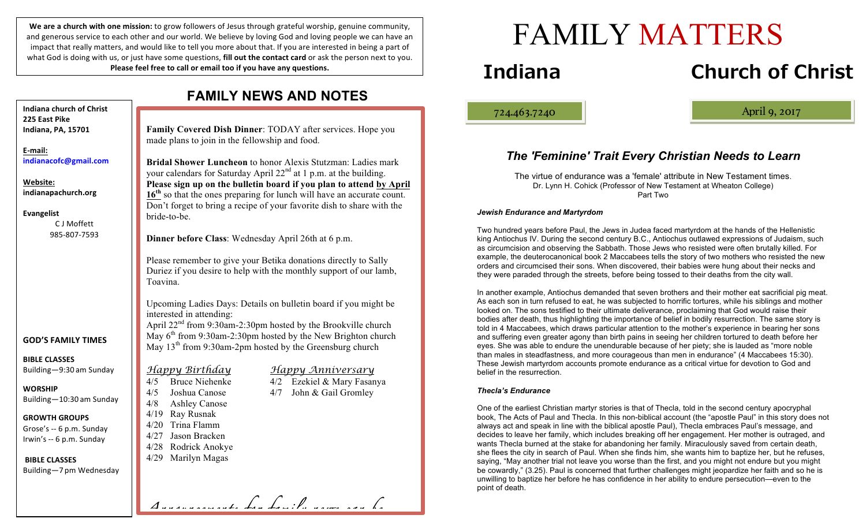We are a church with one mission: to grow followers of Jesus through grateful worship, genuine community, and generous service to each other and our world. We believe by loving God and loving people we can have an impact that really matters, and would like to tell you more about that. If you are interested in being a part of what God is doing with us, or just have some questions, **fill out the contact card** or ask the person next to you. **Please feel free to call or email too if you have any questions.** 

|                                                                              | טשו שווא טוואט ווע                                                                                                                                                                                                                                                                                                           |
|------------------------------------------------------------------------------|------------------------------------------------------------------------------------------------------------------------------------------------------------------------------------------------------------------------------------------------------------------------------------------------------------------------------|
| Indiana church of Christ                                                     |                                                                                                                                                                                                                                                                                                                              |
| 225 East Pike<br>Indiana, PA, 15701                                          | Family Covered Dish Dinner: TODAY after services. Hope you                                                                                                                                                                                                                                                                   |
|                                                                              | made plans to join in the fellowship and food.                                                                                                                                                                                                                                                                               |
| E-mail:                                                                      |                                                                                                                                                                                                                                                                                                                              |
| indianacofc@gmail.com                                                        | Bridal Shower Luncheon to honor Alexis Stutzman: Ladies mark                                                                                                                                                                                                                                                                 |
| Website:<br>indianapachurch.org                                              | your calendars for Saturday April 22 <sup>nd</sup> at 1 p.m. at the building.<br>Please sign up on the bulletin board if you plan to attend by April<br>16 <sup>th</sup> so that the ones preparing for lunch will have an accurate count.<br>Don't forget to bring a recipe of your favorite dish to share with the         |
| <b>Evangelist</b><br>C J Moffett                                             | bride-to-be.                                                                                                                                                                                                                                                                                                                 |
| 985-807-7593                                                                 | Dinner before Class: Wednesday April 26th at 6 p.m.                                                                                                                                                                                                                                                                          |
|                                                                              | Please remember to give your Betika donations directly to Sally<br>Duriez if you desire to help with the monthly support of our lamb,<br>Toavina.                                                                                                                                                                            |
| <b>GOD'S FAMILY TIMES</b>                                                    | Upcoming Ladies Days: Details on bulletin board if you might be<br>interested in attending:<br>April 22 <sup>nd</sup> from 9:30am-2:30pm hosted by the Brookville church<br>May 6 <sup>th</sup> from 9:30am-2:30pm hosted by the New Brighton church<br>May 13 <sup>th</sup> from 9:30am-2pm hosted by the Greensburg church |
| <b>BIBLE CLASSES</b><br>Building-9:30 am Sunday                              | <u>Happy Birthday</u><br><u>Happy Anniversary</u>                                                                                                                                                                                                                                                                            |
| <b>WORSHIP</b><br>Building-10:30 am Sunday                                   | 4/2 Ezekiel & Mary Fasanya<br><b>Bruce Niehenke</b><br>4/5<br>4/5<br>Joshua Canose<br>John & Gail Gromley<br>4/7<br>4/8<br><b>Ashley Canose</b>                                                                                                                                                                              |
| <b>GROWTH GROUPS</b><br>Grose's -- 6 p.m. Sunday<br>Irwin's -- 6 p.m. Sunday | 4/19 Ray Rusnak<br>4/20 Trina Flamm<br>4/27 Jason Bracken                                                                                                                                                                                                                                                                    |
| <b>BIBLE CLASSES</b>                                                         | 4/28 Rodrick Anokye<br>Marilyn Magas<br>4/29                                                                                                                                                                                                                                                                                 |
| Building-7 pm Wednesday                                                      |                                                                                                                                                                                                                                                                                                                              |
|                                                                              | Annonconcerte fon family nome con                                                                                                                                                                                                                                                                                            |

### **FAMILY NEWS AND NOTES**

# **Indiana Church of Christ**

724.463.7240 April 9, 2017

ļ

### *The 'Feminine' Trait Every Christian Needs to Learn*

FAMILY MATTERS

The virtue of endurance was a 'female' attribute in New Testament times. Dr. Lynn H. Cohick (Professor of New Testament at Wheaton College) Part Two

#### *Jewish Endurance and Martyrdom*

Two hundred years before Paul, the Jews in Judea faced martyrdom at the hands of the Hellenistic king Antiochus IV. During the second century B.C., Antiochus outlawed expressions of Judaism, such as circumcision and observing the Sabbath. Those Jews who resisted were often brutally killed. For example, the deuterocanonical book 2 Maccabees tells the story of two mothers who resisted the new orders and circumcised their sons. When discovered, their babies were hung about their necks and they were paraded through the streets, before being tossed to their deaths from the city wall.

In another example, Antiochus demanded that seven brothers and their mother eat sacrificial pig meat. As each son in turn refused to eat, he was subjected to horrific tortures, while his siblings and mother looked on. The sons testified to their ultimate deliverance, proclaiming that God would raise their bodies after death, thus highlighting the importance of belief in bodily resurrection. The same story is told in 4 Maccabees, which draws particular attention to the mother's experience in bearing her sons and suffering even greater agony than birth pains in seeing her children tortured to death before her eyes. She was able to endure the unendurable because of her piety; she is lauded as "more noble than males in steadfastness, and more courageous than men in endurance" (4 Maccabees 15:30). These Jewish martyrdom accounts promote endurance as a critical virtue for devotion to God and belief in the resurrection.

#### *Thecla's Endurance*

One of the earliest Christian martyr stories is that of Thecla, told in the second century apocryphal book, The Acts of Paul and Thecla. In this non-biblical account (the "apostle Paul" in this story does not always act and speak in line with the biblical apostle Paul), Thecla embraces Paul's message, and decides to leave her family, which includes breaking off her engagement. Her mother is outraged, and wants Thecla burned at the stake for abandoning her family. Miraculously saved from certain death, she flees the city in search of Paul. When she finds him, she wants him to baptize her, but he refuses, saying, "May another trial not leave you worse than the first, and you might not endure but you might be cowardly," (3.25). Paul is concerned that further challenges might jeopardize her faith and so he is unwilling to baptize her before he has confidence in her ability to endure persecution—even to the point of death.